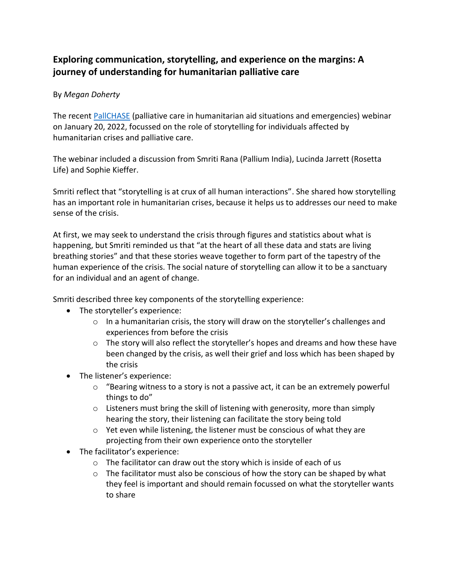## **Exploring communication, storytelling, and experience on the margins: A journey of understanding for humanitarian palliative care**

## By *Megan Doherty*

The recent [PallCHASE](https://www.pallchase.org/) (palliative care in humanitarian aid situations and emergencies) webinar on January 20, 2022, focussed on the role of storytelling for individuals affected by humanitarian crises and palliative care.

The webinar included a discussion from Smriti Rana (Pallium India), Lucinda Jarrett (Rosetta Life) and Sophie Kieffer.

Smriti reflect that "storytelling is at crux of all human interactions". She shared how storytelling has an important role in humanitarian crises, because it helps us to addresses our need to make sense of the crisis.

At first, we may seek to understand the crisis through figures and statistics about what is happening, but Smriti reminded us that "at the heart of all these data and stats are living breathing stories" and that these stories weave together to form part of the tapestry of the human experience of the crisis. The social nature of storytelling can allow it to be a sanctuary for an individual and an agent of change.

Smriti described three key components of the storytelling experience:

- The storyteller's experience:
	- o In a humanitarian crisis, the story will draw on the storyteller's challenges and experiences from before the crisis
	- $\circ$  The story will also reflect the storyteller's hopes and dreams and how these have been changed by the crisis, as well their grief and loss which has been shaped by the crisis
- The listener's experience:
	- $\circ$  "Bearing witness to a story is not a passive act, it can be an extremely powerful things to do"
	- o Listeners must bring the skill of listening with generosity, more than simply hearing the story, their listening can facilitate the story being told
	- o Yet even while listening, the listener must be conscious of what they are projecting from their own experience onto the storyteller
- The facilitator's experience:
	- o The facilitator can draw out the story which is inside of each of us
	- $\circ$  The facilitator must also be conscious of how the story can be shaped by what they feel is important and should remain focussed on what the storyteller wants to share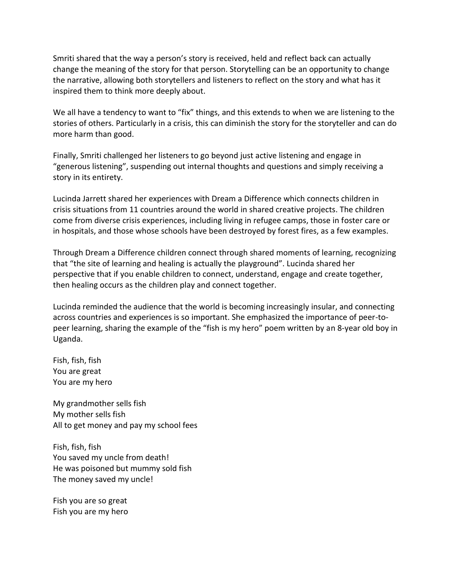Smriti shared that the way a person's story is received, held and reflect back can actually change the meaning of the story for that person. Storytelling can be an opportunity to change the narrative, allowing both storytellers and listeners to reflect on the story and what has it inspired them to think more deeply about.

We all have a tendency to want to "fix" things, and this extends to when we are listening to the stories of others. Particularly in a crisis, this can diminish the story for the storyteller and can do more harm than good.

Finally, Smriti challenged her listeners to go beyond just active listening and engage in "generous listening", suspending out internal thoughts and questions and simply receiving a story in its entirety.

Lucinda Jarrett shared her experiences with Dream a Difference which connects children in crisis situations from 11 countries around the world in shared creative projects. The children come from diverse crisis experiences, including living in refugee camps, those in foster care or in hospitals, and those whose schools have been destroyed by forest fires, as a few examples.

Through Dream a Difference children connect through shared moments of learning, recognizing that "the site of learning and healing is actually the playground". Lucinda shared her perspective that if you enable children to connect, understand, engage and create together, then healing occurs as the children play and connect together.

Lucinda reminded the audience that the world is becoming increasingly insular, and connecting across countries and experiences is so important. She emphasized the importance of peer-topeer learning, sharing the example of the "fish is my hero" poem written by an 8-year old boy in Uganda.

Fish, fish, fish You are great You are my hero

My grandmother sells fish My mother sells fish All to get money and pay my school fees

Fish, fish, fish You saved my uncle from death! He was poisoned but mummy sold fish The money saved my uncle!

Fish you are so great Fish you are my hero